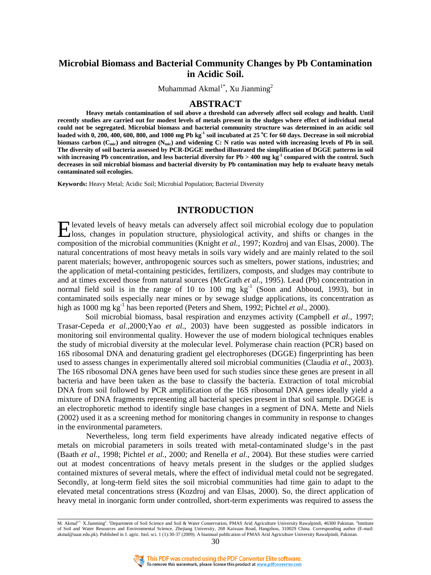# **Microbial Biomass and Bacterial Community Changes by Pb Contamination in Acidic Soil.**

Muhammad Akmal<sup>1\*</sup>, Xu Jianming<sup>2</sup>

### **ABSTRACT**

**Heavy metals contamination of soil above a threshold can adversely affect soil ecology and health. Until recently studies are carried out for modest levels of metals present in the sludges where effect of individual metal could not be segregated. Microbial biomass and bacterial community structure was determined in an acidic soil loaded with 0, 200, 400, 600, 800, and 1000 mg Pb kg -1 soil incubated at 25 <sup>o</sup>C for 60 days. Decrease in soil microbial biomass carbon (Cmic) and nitrogen (Nmic) and widening C: N ratio was noted with increasing levels of Pb in soil. The diversity of soil bacteria assessed by PCR-DGGE method illustrated the simplification of DGGE patterns in soil with increasing Pb concentration, and less bacterial diversity for Pb > 400 mg kg-1 compared with the control. Such decreases in soil microbial biomass and bacterial diversity by Pb contamination may help to evaluate heavy metals contaminated soil ecologies.** 

**Keywords:** Heavy Metal; Acidic Soil; Microbial Population; Bacterial Diversity

## **INTRODUCTION**

levated levels of heavy metals can adversely affect soil microbial ecology due to population Elevated levels of heavy metals can adversely affect soil microbial ecology due to population<br>
loss, changes in population structure, physiological activity, and shifts or changes in the compact of the compact of the compa composition of the microbial communities (Knight *et al.,* 1997; Kozdroj and van Elsas, 2000). The natural concentrations of most heavy metals in soils vary widely and are mainly related to the soil parent materials; however, anthropogenic sources such as smelters, power stations, industries; and the application of metal-containing pesticides, fertilizers, composts, and sludges may contribute to and at times exceed those from natural sources (McGrath *et al*., 1995). Lead (Pb) concentration in normal field soil is in the range of 10 to 100 mg  $kg^{-1}$  (Soon and Abboud, 1993), but in contaminated soils especially near mines or by sewage sludge applications, its concentration as high as 1000 mg kg<sup>-1</sup> has been reported (Peters and Shem, 1992; Pichtel *et al.*, 2000).

 Soil microbial biomass, basal respiration and enzymes activity (Campbell *et al*., 1997; Trasar-Cepeda *et al.,*2000;Yao *et al*., 2003) have been suggested as possible indicators in monitoring soil environmental quality. However the use of modern biological techniques enables the study of microbial diversity at the molecular level. Polymerase chain reaction (PCR) based on 16S ribosomal DNA and denaturing gradient gel electrophoreses (DGGE) fingerprinting has been used to assess changes in experimentally altered soil microbial communities (Claudia *et al*., 2003). The 16S ribosomal DNA genes have been used for such studies since these genes are present in all bacteria and have been taken as the base to classify the bacteria. Extraction of total microbial DNA from soil followed by PCR amplification of the 16S ribosomal DNA genes ideally yield a mixture of DNA fragments representing all bacterial species present in that soil sample. DGGE is an electrophoretic method to identify single base changes in a segment of DNA. Mette and Niels (2002) used it as a screening method for monitoring changes in community in response to changes in the environmental parameters.

Nevertheless, long term field experiments have already indicated negative effects of metals on microbial parameters in soils treated with metal-contaminated sludge's in the past (Baath *et al*., 1998; Pichtel *et al.,* 2000; and Renella *et al*., 2004). But these studies were carried out at modest concentrations of heavy metals present in the sludges or the applied sludges contained mixtures of several metals, where the effect of individual metal could not be segregated. Secondly, at long-term field sites the soil microbial communities had time gain to adapt to the elevated metal concentrations stress (Kozdroj and van Elsas, 2000). So, the direct application of heavy metal in inorganic form under controlled, short-term experiments was required to assess the

M. Akmal<sup>1\*</sup>: X.Jianming<sup>2</sup>.<sup>1</sup>Department of Soil Science and Soil & Water Conservation, PMAS Arid Agriculture University Rawalpindi, 46300 Pakistan. <sup>2</sup>Institute of Soil and Water Resources and Environmental Science, Zhejiang University, 268 Kaixuan Road, Hangzhou, 310029 China. Corresponding author (E-mail: akmal@uaar.edu.pk). Published in J. agric. biol. sci. 1 (1):30-37 (2009). A biannual publication of PMAS Arid Agriculture University Rawalpindi, Pakistan. 30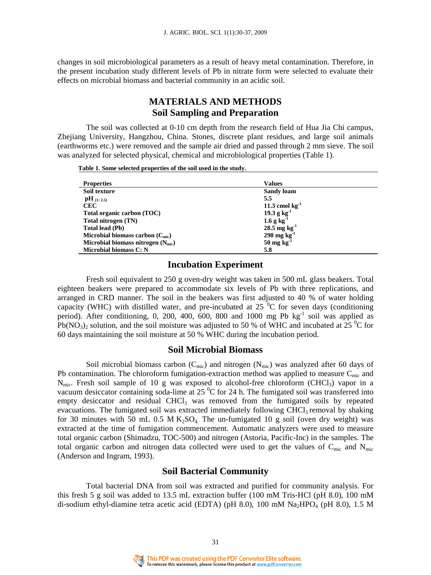changes in soil microbiological parameters as a result of heavy metal contamination. Therefore, in the present incubation study different levels of Pb in nitrate form were selected to evaluate their effects on microbial biomass and bacterial community in an acidic soil.

# **MATERIALS AND METHODS Soil Sampling and Preparation**

The soil was collected at 0-10 cm depth from the research field of Hua Jia Chi campus, Zhejiang University, Hangzhou, China. Stones, discrete plant residues, and large soil animals (earthworms etc.) were removed and the sample air dried and passed through 2 mm sieve. The soil was analyzed for selected physical, chemical and microbiological properties (Table 1).

 **Table 1. Some selected properties of the soil used in the study.** 

| <b>Properties</b>                             | <b>Values</b>             |
|-----------------------------------------------|---------------------------|
| Soil texture                                  | Sandy loam                |
| $\mathbf{pH}_{(1:2.5)}$                       | 5.5                       |
| <b>CEC</b>                                    | 11.3 cmol $kg^{-1}$       |
| Total organic carbon (TOC)                    | $19.3 g kg-1$             |
| Total nitrogen (TN)                           | $1.6 g kg-1$              |
| <b>Total lead (Pb)</b>                        | $28.5 \text{ mg kg}^{-1}$ |
| Microbial biomass carbon $(C_{\text{mic}})$   | $290$ mg kg <sup>-1</sup> |
| Microbial biomass nitrogen $(N_{\text{mic}})$ | $50 \text{ mg kg}^{-1}$   |
| Microbial biomass C: N                        | 5.8                       |

### **Incubation Experiment**

Fresh soil equivalent to 250 g oven-dry weight was taken in 500 mL glass beakers. Total eighteen beakers were prepared to accommodate six levels of Pb with three replications, and arranged in CRD manner. The soil in the beakers was first adjusted to 40 % of water holding capacity (WHC) with distilled water, and pre-incubated at  $25\degree C$  for seven days (conditioning period). After conditioning, 0, 200, 400, 600, 800 and 1000 mg Pb  $\text{kg}^{-1}$  soil was applied as Pb(NO<sub>3</sub>)<sub>2</sub> solution, and the soil moisture was adjusted to 50 % of WHC and incubated at 25 <sup>o</sup>C for 60 days maintaining the soil moisture at 50 % WHC during the incubation period.

#### **Soil Microbial Biomass**

Soil microbial biomass carbon  $(C_{\text{mic}})$  and nitrogen  $(N_{\text{mic}})$  was analyzed after 60 days of Pb contamination. The chloroform fumigation-extraction method was applied to measure  $C_{\text{mic}}$  and  $N_{\text{mic}}$ . Fresh soil sample of 10 g was exposed to alcohol-free chloroform (CHCl<sub>3</sub>) vapor in a vacuum desiccator containing soda-lime at 25  $\mathrm{^0C}$  for 24 h. The fumigated soil was transferred into empty desiccator and residual CHCl<sub>3</sub> was removed from the fumigated soils by repeated evacuations. The fumigated soil was extracted immediately following  $CHCl<sub>3</sub>$  removal by shaking for 30 minutes with 50 mL 0.5 M K<sub>2</sub>SO<sub>4</sub>. The un-fumigated 10 g soil (oven dry weight) was extracted at the time of fumigation commencement. Automatic analyzers were used to measure total organic carbon (Shimadzu, TOC-500) and nitrogen (Astoria, Pacific-Inc) in the samples. The total organic carbon and nitrogen data collected were used to get the values of  $C_{\text{mic}}$  and  $N_{\text{mic}}$ (Anderson and Ingram, 1993).

## **Soil Bacterial Community**

Total bacterial DNA from soil was extracted and purified for community analysis. For this fresh 5 g soil was added to 13.5 mL extraction buffer (100 mM Tris-HCl (pH 8.0), 100 mM di-sodium ethyl-diamine tetra acetic acid (EDTA) (pH 8.0), 100 mM  $\text{Na}_2\text{HPO}_4$  (pH 8.0), 1.5 M

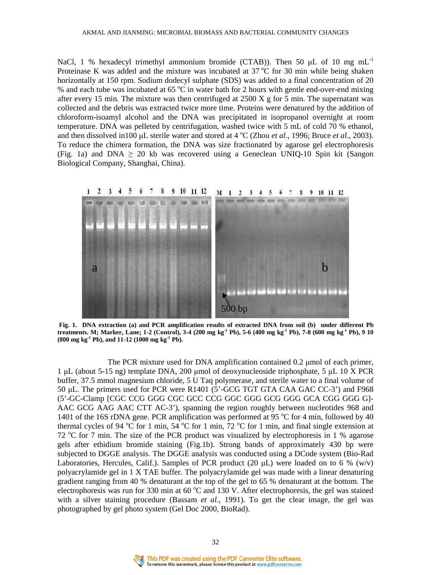NaCl, 1 % hexadecyl trimethyl ammonium bromide (CTAB)). Then 50  $\mu$ L of 10 mg mL<sup>-1</sup> Proteinase K was added and the mixture was incubated at  $37^{\circ}$ C for 30 min while being shaken horizontally at 150 rpm. Sodium dodecyl sulphate (SDS) was added to a final concentration of 20 % and each tube was incubated at  $65^{\circ}$ C in water bath for 2 hours with gentle end-over-end mixing after every 15 min. The mixture was then centrifuged at  $2500 \text{ X}$  g for 5 min. The supernatant was collected and the debris was extracted twice more time. Proteins were denatured by the addition of chloroform-isoamyl alcohol and the DNA was precipitated in isopropanol overnight at room temperature. DNA was pelleted by centrifugation, washed twice with 5 mL of cold 70 % ethanol, and then dissolved in100  $\mu$ L sterile water and stored at 4 °C (Zhou *et al.*, 1996; Bruce *et al.*, 2003). To reduce the chimera formation, the DNA was size fractionated by agarose gel electrophoresis (Fig. 1a) and DNA  $\geq$  20 kb was recovered using a Geneclean UNIQ-10 Spin kit (Sangon Biological Company, Shanghai, China).



 **Fig. 1. DNA extraction (a) and PCR amplification results of extracted DNA from soil (b) under different Pb treatments. M; Marker, Lane; 1-2 (Control), 3-4 (200 mg kg-1 Pb), 5-6 (400 mg kg-1 Pb), 7-8 (600 mg kg-1 Pb), 9 10 (800 mg kg-1 Pb), and 11-12 (1000 mg kg-1 Pb).** 

The PCR mixture used for DNA amplification contained 0.2 µmol of each primer, 1 µL (about 5-15 ng) template DNA, 200 µmol of deoxynucleoside triphosphate, 5 µL 10 X PCR buffer, 37.5 mmol magnesium chloride, 5 U Taq polymerase, and sterile water to a final volume of 50 µL. The primers used for PCR were R1401 (5'-GCG TGT GTA CAA GAC CC-3') and F968 (5'-GC-Clamp [CGC CCG GGG CGC GCC CCG GGC GGG GCG GGG GCA CGG GGG G]- AAC GCG AAG AAC CTT AC-3'), spanning the region roughly between nucleotides 968 and 1401 of the 16S rDNA gene. PCR amplification was performed at 95  $\degree$ C for 4 min, followed by 40 thermal cycles of 94  $\degree$ C for 1 min, 54  $\degree$ C for 1 min, 72  $\degree$ C for 1 min, and final single extension at 72  $\degree$ C for 7 min. The size of the PCR product was visualized by electrophoresis in 1 % agarose gels after ethidium bromide staining (Fig.1b). Strong bands of approximately 430 bp were subjected to DGGE analysis. The DGGE analysis was conducted using a DCode system (Bio-Rad Laboratories, Hercules, Calif.). Samples of PCR product (20  $\mu$ L) were loaded on to 6 % (w/v) polyacrylamide gel in 1 X TAE buffer. The polyacrylamide gel was made with a linear denaturing gradient ranging from 40 % denaturant at the top of the gel to 65 % denaturant at the bottom. The electrophoresis was run for 330 min at 60  $^{\circ}$ C and 130 V. After electrophoresis, the gel was stained with a silver staining procedure (Bassam *et al*., 1991). To get the clear image, the gel was photographed by gel photo system (Gel Doc 2000, BioRad).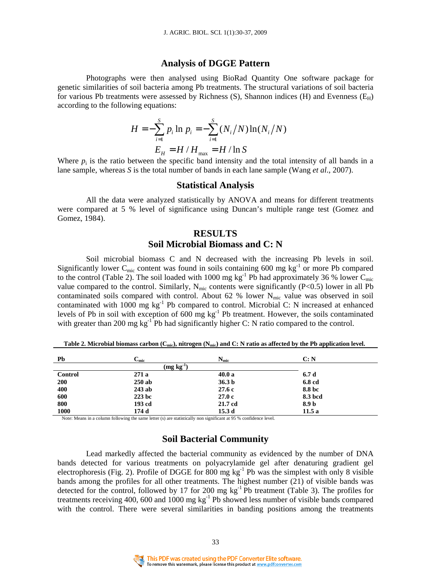#### **Analysis of DGGE Pattern**

Photographs were then analysed using BioRad Quantity One software package for genetic similarities of soil bacteria among Pb treatments. The structural variations of soil bacteria for various Pb treatments were assessed by Richness (S), Shannon indices (H) and Evenness ( $E_H$ ) according to the following equations:

$$
H = -\sum_{i=1}^{S} p_i \ln p_i = -\sum_{i=1}^{S} (N_i/N) \ln(N_i/N)
$$
  

$$
E_H = H / H_{\text{max}} = H / \ln S
$$

Where  $p_i$  is the ratio between the specific band intensity and the total intensity of all bands in a lane sample, whereas *S* is the total number of bands in each lane sample (Wang *et al*., 2007).

#### **Statistical Analysis**

All the data were analyzed statistically by ANOVA and means for different treatments were compared at 5 % level of significance using Duncan's multiple range test (Gomez and Gomez, 1984).

# **RESULTS Soil Microbial Biomass and C: N**

Soil microbial biomass C and N decreased with the increasing Pb levels in soil. Significantly lower C<sub>mic</sub> content was found in soils containing 600 mg  $kg^{-1}$  or more Pb compared to the control (Table 2). The soil loaded with 1000 mg  $kg^{-1}$  Pb had approximately 36 % lower C<sub>mic</sub> value compared to the control. Similarly,  $N_{\text{mic}}$  contents were significantly (P<0.5) lower in all Pb contaminated soils compared with control. About 62 % lower  $N_{\text{mic}}$  value was observed in soil contaminated with 1000 mg kg<sup>-1</sup> Pb compared to control. Microbial C: N increased at enhanced levels of Pb in soil with exception of 600 mg kg<sup>-1</sup> Pb treatment. However, the soils contaminated with greater than 200 mg  $kg^{-1}$ Pb had significantly higher C: N ratio compared to the control.

| Pb             | $\mathrm{C}_{\mathrm{mic}}$ | $N_{\rm mic}$     | C: N    |  |
|----------------|-----------------------------|-------------------|---------|--|
|                | $(mg kg-1)$                 |                   |         |  |
| <b>Control</b> | 271a                        | 40.0a             | 6.7d    |  |
| 200            | $250$ ab                    | 36.3 <sub>b</sub> | 6.8 cd  |  |
| 400            | 243 ab                      | 27.6c             | 8.8 bc  |  |
| 600            | 223 bc                      | 27.0c             | 8.3 bcd |  |
| 800            | 193 cd                      | 21.7 cd           | 8.9 b   |  |
| 1000           | 174 d                       | 15.3 d            | 11.5 a  |  |

 **Table 2. Microbial biomass carbon (Cmic), nitrogen (Nmic) and C: N ratio as affected by the Pb application level.** 

Note: Means in a column following the same letter (s) are statistically non significant at 95 % confidence level.

## **Soil Bacterial Community**

Lead markedly affected the bacterial community as evidenced by the number of DNA bands detected for various treatments on polyacrylamide gel after denaturing gradient gel electrophoresis (Fig. 2). Profile of DGGE for 800 mg  $kg^{-1}$  Pb was the simplest with only 8 visible bands among the profiles for all other treatments. The highest number  $(21)$  of visible bands was detected for the control, followed by 17 for 200 mg kg<sup>-1</sup> Pb treatment (Table 3). The profiles for treatments receiving 400, 600 and 1000 mg  $kg^{-1}$  Pb showed less number of visible bands compared with the control. There were several similarities in banding positions among the treatments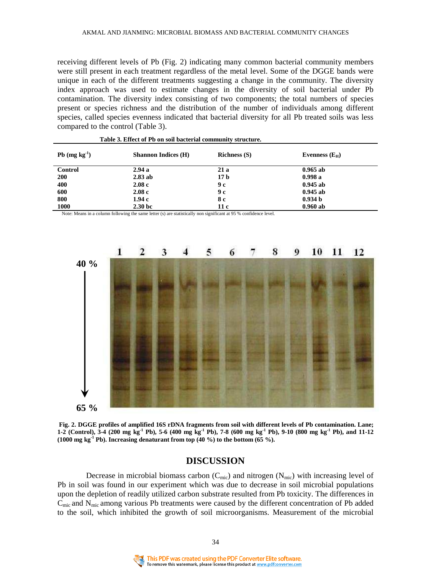receiving different levels of Pb (Fig. 2) indicating many common bacterial community members were still present in each treatment regardless of the metal level. Some of the DGGE bands were unique in each of the different treatments suggesting a change in the community. The diversity index approach was used to estimate changes in the diversity of soil bacterial under Pb contamination. The diversity index consisting of two components; the total numbers of species present or species richness and the distribution of the number of individuals among different species, called species evenness indicated that bacterial diversity for all Pb treated soils was less compared to the control (Table 3).

| Pb $(mg kg-1)$ | <b>Shannon Indices (H)</b> | <b>Richness</b> (S) | Evenness $(E_H)$   |
|----------------|----------------------------|---------------------|--------------------|
| Control        | 2.94a                      | 21 a                | $0.965$ ab         |
| <b>200</b>     | $2.83$ ab                  | 17 <sub>b</sub>     | 0.998a             |
| 400            | 2.08c                      | 9 с                 | $0.945$ ab         |
| 600            | 2.08c                      | 9 с                 | $0.945$ ab         |
| 800            | 1.94 с                     | 8 с                 | 0.934 <sub>b</sub> |
| 1000           | 2.30 <sub>b</sub>          | 11 c                | $0.960$ ab         |

 **Table 3. Effect of Pb on soil bacterial community structure.** 

Note: Means in a column following the same letter (s) are statistically non significant at 95 % confidence level.



 **Fig. 2. DGGE profiles of amplified 16S rDNA fragments from soil with different levels of Pb contamination. Lane; 1-2 (Control), 3-4 (200 mg kg-1 Pb), 5-6 (400 mg kg-1 Pb), 7-8 (600 mg kg-1 Pb), 9-10 (800 mg kg-1 Pb), and 11-12 (1000 mg kg-1 Pb). Increasing denaturant from top (40 %) to the bottom (65 %).** 

### **DISCUSSION**

Decrease in microbial biomass carbon ( $C_{\text{mic}}$ ) and nitrogen ( $N_{\text{mic}}$ ) with increasing level of Pb in soil was found in our experiment which was due to decrease in soil microbial populations upon the depletion of readily utilized carbon substrate resulted from Pb toxicity. The differences in  $C<sub>mic</sub>$  and  $N<sub>mic</sub>$  among various Pb treatments were caused by the different concentration of Pb added to the soil, which inhibited the growth of soil microorganisms. Measurement of the microbial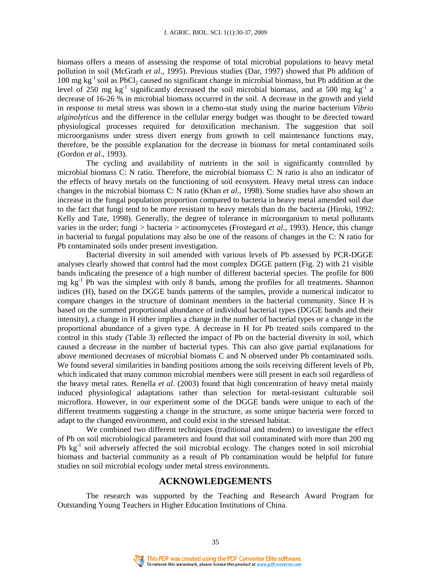biomass offers a means of assessing the response of total microbial populations to heavy metal pollution in soil (McGrath *et al*., 1995). Previous studies (Dar, 1997) showed that Pb addition of  $100$  mg kg<sup>-1</sup> soil as PbCl<sub>2</sub> caused no significant change in microbial biomass, but Pb addition at the level of 250 mg  $kg^{-1}$  significantly decreased the soil microbial biomass, and at 500 mg  $kg^{-1}$  a decrease of 16-26 % in microbial biomass occurred in the soil. A decrease in the growth and yield in response to metal stress was shown in a chemo-stat study using the marine bacterium *Vibrio alginolyticus* and the difference in the cellular energy budget was thought to be directed toward physiological processes required for detoxification mechanism. The suggestion that soil microorganisms under stress divert energy from growth to cell maintenance functions may, therefore, be the possible explanation for the decrease in biomass for metal contaminated soils (Gordon *et al*.*,* 1993).

The cycling and availability of nutrients in the soil is significantly controlled by microbial biomass C: N ratio. Therefore, the microbial biomass C: N ratio is also an indicator of the effects of heavy metals on the functioning of soil ecosystem. Heavy metal stress can induce changes in the microbial biomass C: N ratio (Khan *et al*., 1998). Some studies have also shown an increase in the fungal population proportion compared to bacteria in heavy metal amended soil due to the fact that fungi tend to be more resistant to heavy metals than do the bacteria (Hiroki, 1992; Kelly and Tate, 1998). Generally, the degree of tolerance in microorganism to metal pollutants varies in the order; fungi > bacteria > actinomycetes (Frostegard *et al*., 1993). Hence, this change in bacterial to fungal populations may also be one of the reasons of changes in the C: N ratio for Pb contaminated soils under present investigation.

Bacterial diversity in soil amended with various levels of Pb assessed by PCR-DGGE analyses clearly showed that control had the most complex DGGE pattern (Fig. 2) with 21 visible bands indicating the presence of a high number of different bacterial species. The profile for 800 mg  $kg<sup>-1</sup>$  Pb was the simplest with only 8 bands, among the profiles for all treatments. Shannon indices (H), based on the DGGE bands patterns of the samples, provide a numerical indicator to compare changes in the structure of dominant members in the bacterial community. Since H is based on the summed proportional abundance of individual bacterial types (DGGE bands and their intensity), a change in H either implies a change in the number of bacterial types or a change in the proportional abundance of a given type. A decrease in H for Pb treated soils compared to the control in this study (Table 3) reflected the impact of Pb on the bacterial diversity in soil, which caused a decrease in the number of bacterial types. This can also give partial explanations for above mentioned decreases of microbial biomass C and N observed under Pb contaminated soils. We found several similarities in banding positions among the soils receiving different levels of Pb, which indicated that many common microbial members were still present in each soil regardless of the heavy metal rates. Renella *et al*. (2003) found that high concentration of heavy metal mainly induced physiological adaptations rather than selection for metal-resistant culturable soil microflora. However, in our experiment some of the DGGE bands were unique to each of the different treatments suggesting a change in the structure, as some unique bacteria were forced to adapt to the changed environment, and could exist in the stressed habitat.

We combined two different techniques (traditional and modern) to investigate the effect of Pb on soil microbiological parameters and found that soil contaminated with more than 200 mg Pb  $kg<sup>-1</sup>$  soil adversely affected the soil microbial ecology. The changes noted in soil microbial biomass and bacterial community as a result of Pb contamination would be helpful for future studies on soil microbial ecology under metal stress environments.

## **ACKNOWLEDGEMENTS**

The research was supported by the Teaching and Research Award Program for Outstanding Young Teachers in Higher Education Institutions of China.

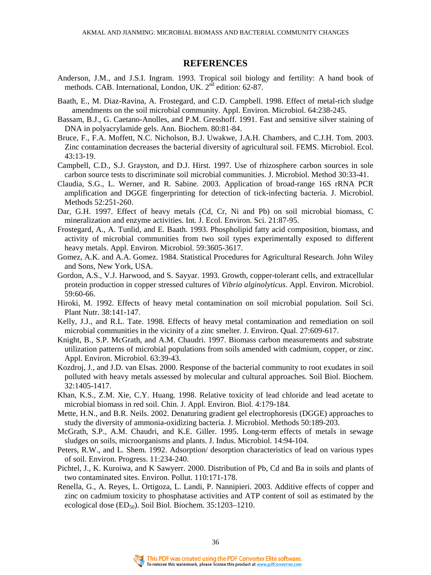### **REFERENCES**

- Anderson, J.M., and J.S.I. Ingram. 1993. Tropical soil biology and fertility: A hand book of methods. CAB. International, London, UK. 2<sup>nd</sup> edition: 62-87.
- Baath, E., M. Diaz-Ravina, A. Frostegard, and C.D. Campbell. 1998. Effect of metal-rich sludge amendments on the soil microbial community. Appl. Environ. Microbiol. 64:238-245.
- Bassam, B.J., G. Caetano-Anolles, and P.M. Gresshoff. 1991. Fast and sensitive silver staining of DNA in polyacrylamide gels. Ann. Biochem. 80:81-84.
- Bruce, F., F.A. Moffett, N.C. Nicholson, B.J. Uwakwe, J.A.H. Chambers, and C.J.H. Tom. 2003. Zinc contamination decreases the bacterial diversity of agricultural soil. FEMS. Microbiol. Ecol. 43:13-19.
- Campbell, C.D., S.J. Grayston, and D.J. Hirst. 1997. Use of rhizosphere carbon sources in sole carbon source tests to discriminate soil microbial communities. J. Microbiol. Method 30:33-41.
- Claudia, S.G., L. Werner, and R. Sabine. 2003. Application of broad-range 16S rRNA PCR amplification and DGGE fingerprinting for detection of tick-infecting bacteria. J. Microbiol. Methods 52:251-260.
- Dar, G.H. 1997. Effect of heavy metals (Cd, Cr, Ni and Pb) on soil microbial biomass, C mineralization and enzyme activities. Int. J. Ecol. Environ. Sci. 21:87-95.
- Frostegard, A., A. Tunlid, and E. Baath. 1993. Phospholipid fatty acid composition, biomass, and activity of microbial communities from two soil types experimentally exposed to different heavy metals. Appl. Environ. Microbiol. 59:3605-3617.
- Gomez, A.K. and A.A. Gomez. 1984. Statistical Procedures for Agricultural Research. John Wiley and Sons, New York, USA.
- Gordon, A.S., V.J. Harwood, and S. Sayyar. 1993. Growth, copper-tolerant cells, and extracellular protein production in copper stressed cultures of *Vibrio alginolyticus*. Appl. Environ. Microbiol. 59:60-66.
- Hiroki, M. 1992. Effects of heavy metal contamination on soil microbial population. Soil Sci. Plant Nutr. 38:141-147.
- Kelly, J.J., and R.L. Tate. 1998. Effects of heavy metal contamination and remediation on soil microbial communities in the vicinity of a zinc smelter. J. Environ. Qual. 27:609-617.
- Knight, B., S.P. McGrath, and A.M. Chaudri. 1997. Biomass carbon measurements and substrate utilization patterns of microbial populations from soils amended with cadmium, copper, or zinc. Appl. Environ. Microbiol. 63:39-43.
- Kozdroj, J., and J.D. van Elsas. 2000. Response of the bacterial community to root exudates in soil polluted with heavy metals assessed by molecular and cultural approaches. Soil Biol. Biochem. 32:1405-1417.
- Khan, K.S., Z.M. Xie, C.Y. Huang. 1998. Relative toxicity of lead chloride and lead acetate to microbial biomass in red soil. Chin. J. Appl. Environ. Biol. 4:179-184.
- Mette, H.N., and B.R. Neils. 2002. Denaturing gradient gel electrophoresis (DGGE) approaches to study the diversity of ammonia-oxidizing bacteria. J. Microbiol. Methods 50:189-203.
- McGrath, S.P., A.M. Chaudri, and K.E. Giller. 1995. Long-term effects of metals in sewage sludges on soils, microorganisms and plants. J. Indus. Microbiol. 14:94-104.
- Peters, R.W., and L. Shem. 1992. Adsorption/ desorption characteristics of lead on various types of soil. Environ. Progress. 11:234-240.
- Pichtel, J., K. Kuroiwa, and K Sawyerr. 2000. Distribution of Pb, Cd and Ba in soils and plants of two contaminated sites. Environ. Pollut. 110:171-178.
- Renella, G., A. Reyes, L. Ortigoza, L. Landi, P. Nannipieri. 2003. Additive effects of copper and zinc on cadmium toxicity to phosphatase activities and ATP content of soil as estimated by the ecological dose  $(ED_{50})$ . Soil Biol. Biochem. 35:1203-1210.